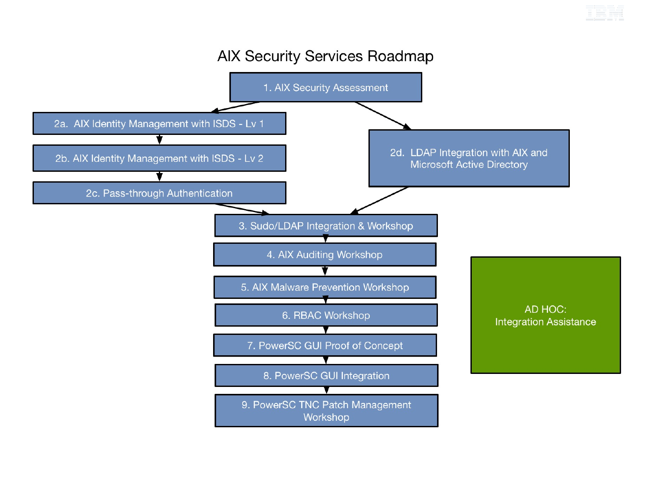

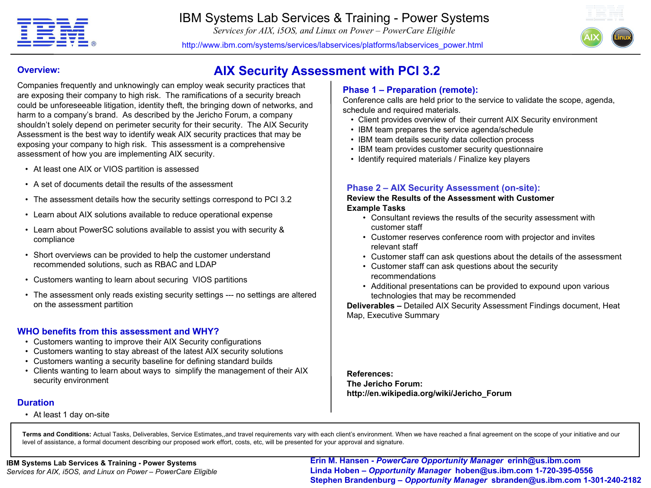

*Services for AIX, i5OS, and Linux on Power – PowerCare Eligible*



http://www.ibm.com/systems/services/labservices/platforms/labservices\_power.html

**AIX Security Assessment with PCI 3.2**

### **Overview:**

Companies frequently and unknowingly can employ weak security practices that are exposing their company to high risk. The ramifications of a security breach could be unforeseeable litigation, identity theft, the bringing down of networks, and harm to a company's brand. As described by the Jericho Forum, a company shouldn't solely depend on perimeter security for their security. The AIX Security Assessment is the best way to identify weak AIX security practices that may be exposing your company to high risk. This assessment is a comprehensive assessment of how you are implementing AIX security.

- At least one AIX or VIOS partition is assessed
- A set of documents detail the results of the assessment
- The assessment details how the security settings correspond to PCI 3.2
- Learn about AIX solutions available to reduce operational expense
- Learn about PowerSC solutions available to assist you with security & compliance
- Short overviews can be provided to help the customer understand recommended solutions, such as RBAC and LDAP
- Customers wanting to learn about securing VIOS partitions
- The assessment only reads existing security settings --- no settings are altered on the assessment partition

### **WHO benefits from this assessment and WHY?**

- Customers wanting to improve their AIX Security configurations
- Customers wanting to stay abreast of the latest AIX security solutions
- Customers wanting a security baseline for defining standard builds
- Clients wanting to learn about ways to simplify the management of their AIX security environment

### **Duration**

• At least 1 day on-site

### **Phase 1 – Preparation (remote):**

Conference calls are held prior to the service to validate the scope, agenda, schedule and required materials.

- Client provides overview of their current AIX Security environment
- IBM team prepares the service agenda/schedule
- IBM team details security data collection process
- IBM team provides customer security questionnaire
- Identify required materials / Finalize key players

### **Phase 2 – AIX Security Assessment (on-site):**

**Review the Results of the Assessment with Customer Example Tasks**

- Consultant reviews the results of the security assessment with customer staff
- Customer reserves conference room with projector and invites relevant staff
- Customer staff can ask questions about the details of the assessment
- Customer staff can ask questions about the security recommendations
- Additional presentations can be provided to expound upon various technologies that may be recommended

**Deliverables –** Detailed AIX Security Assessment Findings document, Heat Map, Executive Summary

**References: The Jericho Forum: http://en.wikipedia.org/wiki/Jericho\_Forum** 

**Terms and Conditions:** Actual Tasks, Deliverables, Service Estimates,,and travel requirements vary with each client's environment. When we have reached a final agreement on the scope of your initiative and our level of assistance, a formal document describing our proposed work effort, costs, etc, will be presented for your approval and signature.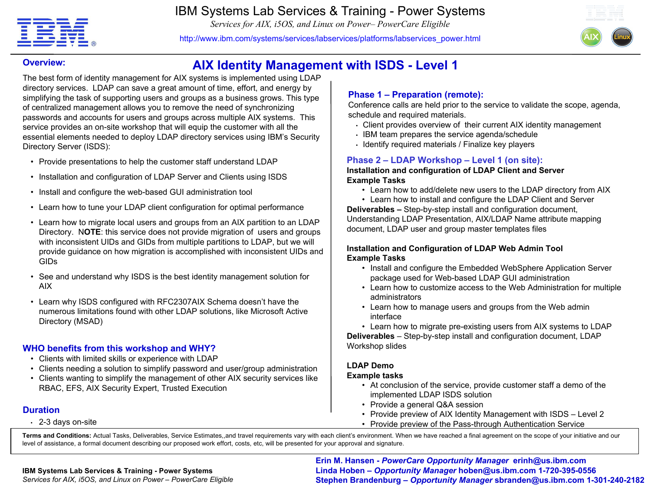

**Overview:**

IBM Systems Lab Services & Training - Power Systems

*Services for AIX, i5OS, and Linux on Power– PowerCare Eligible*

http://www.ibm.com/systems/services/labservices/platforms/labservices\_power.html



# **AIX Identity Management with ISDS - Level 1**

The best form of identity management for AIX systems is implemented using LDAP directory services. LDAP can save a great amount of time, effort, and energy by simplifying the task of supporting users and groups as a business grows. This type of centralized management allows you to remove the need of synchronizing passwords and accounts for users and groups across multiple AIX systems. This service provides an on-site workshop that will equip the customer with all the essential elements needed to deploy LDAP directory services using IBM's Security Directory Server (ISDS):

- Provide presentations to help the customer staff understand LDAP
- Installation and configuration of LDAP Server and Clients using ISDS
- Install and configure the web-based GUI administration tool
- Learn how to tune your LDAP client configuration for optimal performance
- Learn how to migrate local users and groups from an AIX partition to an LDAP Directory. N**OTE**: this service does not provide migration of users and groups with inconsistent UIDs and GIDs from multiple partitions to LDAP, but we will provide guidance on how migration is accomplished with inconsistent UIDs and GIDs
- See and understand why ISDS is the best identity management solution for AIX
- Learn why ISDS configured with RFC2307AIX Schema doesn't have the numerous limitations found with other LDAP solutions, like Microsoft Active Directory (MSAD)

# **WHO benefits from this workshop and WHY?**

- Clients with limited skills or experience with LDAP
- Clients needing a solution to simplify password and user/group administration
- Clients wanting to simplify the management of other AIX security services like RBAC, EFS, AIX Security Expert, Trusted Execution

### **Duration**

• 2-3 days on-site

### **Phase 1 – Preparation (remote):**

Conference calls are held prior to the service to validate the scope, agenda, schedule and required materials.

- Client provides overview of their current AIX identity management
- IBM team prepares the service agenda/schedule
- Identify required materials / Finalize key players

# **Phase 2 – LDAP Workshop – Level 1 (on site):**

### **Installation and configuration of LDAP Client and Server Example Tasks**

• Learn how to add/delete new users to the LDAP directory from AIX

• Learn how to install and configure the LDAP Client and Server **Deliverables –** Step-by-step install and configuration document, Understanding LDAP Presentation, AIX/LDAP Name attribute mapping document, LDAP user and group master templates files

### **Installation and Configuration of LDAP Web Admin Tool Example Tasks**

- Install and configure the Embedded WebSphere Application Server package used for Web-based LDAP GUI administration
- Learn how to customize access to the Web Administration for multiple administrators
- Learn how to manage users and groups from the Web admin interface

• Learn how to migrate pre-existing users from AIX systems to LDAP **Deliverables** – Step-by-step install and configuration document, LDAP Workshop slides

### **LDAP Demo**

### **Example tasks**

- At conclusion of the service, provide customer staff a demo of the implemented LDAP ISDS solution
- Provide a general Q&A session
- Provide preview of AIX Identity Management with ISDS Level 2
- Provide preview of the Pass-through Authentication Service

**Terms and Conditions:** Actual Tasks, Deliverables, Service Estimates,,and travel requirements vary with each client's environment. When we have reached a final agreement on the scope of your initiative and our level of assistance, a formal document describing our proposed work effort, costs, etc, will be presented for your approval and signature.

### **IBM Systems Lab Services & Training - Power Systems**

*Services for AIX, i5OS, and Linux on Power – PowerCare Eligible*

M Systems Lab Services & Training - Power Systems<br>Prices for AIX i5OS, and Linux on Power, RewarCorp Fligible **1996 Stephen Brandophura Connectivalty Manager hoben@us.ibm.com 1-720-395-0556 Erin M. Hansen -** *PowerCare Opportunity Manager* **erinh@us.ibm.com Stephen Brandenburg –** *Opportunity Manager* **sbranden@us.ibm.com 1-301-240-2182**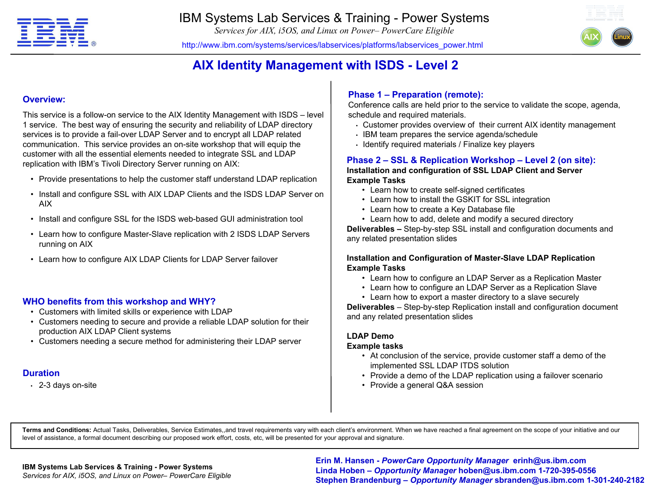

*Services for AIX, i5OS, and Linux on Power– PowerCare Eligible*



http://www.ibm.com/systems/services/labservices/platforms/labservices\_power.html

# **AIX Identity Management with ISDS - Level 2**

### **Overview:**

This service is a follow-on service to the AIX Identity Management with ISDS – level 1 service. The best way of ensuring the security and reliability of LDAP directory services is to provide a fail-over LDAP Server and to encrypt all LDAP related communication. This service provides an on-site workshop that will equip the customer with all the essential elements needed to integrate SSL and LDAP replication with IBM's Tivoli Directory Server running on AIX:

- Provide presentations to help the customer staff understand LDAP replication
- Install and configure SSL with AIX LDAP Clients and the ISDS LDAP Server on AIX
- Install and configure SSL for the ISDS web-based GUI administration tool
- Learn how to configure Master-Slave replication with 2 ISDS LDAP Servers running on AIX
- Learn how to configure AIX LDAP Clients for LDAP Server failover

### **WHO benefits from this workshop and WHY?**

- Customers with limited skills or experience with LDAP
- Customers needing to secure and provide a reliable LDAP solution for their production AIX LDAP Client systems
- Customers needing a secure method for administering their LDAP server

### **Duration**

• 2-3 days on-site

### **Phase 1 – Preparation (remote):**

Conference calls are held prior to the service to validate the scope, agenda, schedule and required materials.

- Customer provides overview of their current AIX identity management
- IBM team prepares the service agenda/schedule
- Identify required materials / Finalize key players

#### **Phase 2 – SSL & Replication Workshop – Level 2 (on site): Installation and configuration of SSL LDAP Client and Server Example Tasks**

- Learn how to create self-signed certificates
- Learn how to install the GSKIT for SSL integration
- Learn how to create a Key Database file
- Learn how to add, delete and modify a secured directory

**Deliverables –** Step-by-step SSL install and configuration documents and any related presentation slides

#### **Installation and Configuration of Master-Slave LDAP Replication Example Tasks**

- Learn how to configure an LDAP Server as a Replication Master
- Learn how to configure an LDAP Server as a Replication Slave
- Learn how to export a master directory to a slave securely

**Deliverables** – Step-by-step Replication install and configuration document and any related presentation slides

### **LDAP Demo**

#### **Example tasks**

- At conclusion of the service, provide customer staff a demo of the implemented SSL LDAP ITDS solution
- Provide a demo of the LDAP replication using a failover scenario
- Provide a general Q&A session

**Terms and Conditions:** Actual Tasks, Deliverables, Service Estimates,,and travel requirements vary with each client's environment. When we have reached a final agreement on the scope of your initiative and our level of assistance, a formal document describing our proposed work effort, costs, etc, will be presented for your approval and signature.

#### **IBM Systems Lab Services & Training - Power Systems**

<u>Parager</u> hoben Corporation Club Corporation Corporation Corporation Corporation Corporation (Care in 1995-0556<br>Services for AIX, i5OS, and Linux on Power– PowerCare Eligible<br> **Care by Corporation Corporation Constructs (A Erin M. Hansen -** *PowerCare Opportunity Manager* **erinh@us.ibm.com Linda Hoben** *– Opportunity Manager* **hoben@us.ibm.com 1-720-395-0556 Stephen Brandenburg –** *Opportunity Manager* **sbranden@us.ibm.com 1-301-240-2182**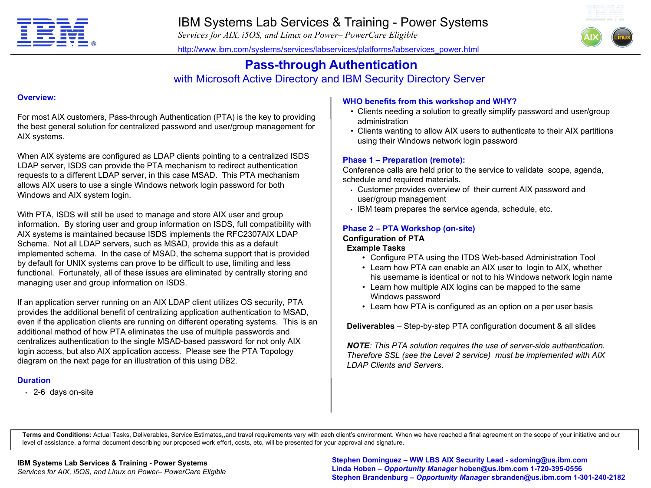

*Services for AIX, i5OS, and Linux on Power– PowerCare Eligible*



http://www.ibm.com/systems/services/labservices/platforms/labservices\_power.html

# **Pass-through Authentication**

# with Microsoft Active Directory and IBM Security Directory Server

### **Overview:**

For most AIX customers, Pass-through Authentication (PTA) is the key to providing the best general solution for centralized password and user/group management for AIX systems.

When AIX systems are configured as LDAP clients pointing to a centralized ISDS LDAP server, ISDS can provide the PTA mechanism to redirect authentication requests to a different LDAP server, in this case MSAD. This PTA mechanism allows AIX users to use a single Windows network login password for both Windows and AIX system login.

With PTA, ISDS will still be used to manage and store AIX user and group information. By storing user and group information on ISDS, full compatibility with AIX systems is maintained because ISDS implements the RFC2307AIX LDAP Schema. Not all LDAP servers, such as MSAD, provide this as a default implemented schema. In the case of MSAD, the schema support that is provided by default for UNIX systems can prove to be difficult to use, limiting and less functional. Fortunately, all of these issues are eliminated by centrally storing and managing user and group information on ISDS.

If an application server running on an AIX LDAP client utilizes OS security, PTA provides the additional benefit of centralizing application authentication to MSAD, even if the application clients are running on different operating systems. This is an additional method of how PTA eliminates the use of multiple passwords and centralizes authentication to the single MSAD-based password for not only AIX login access, but also AIX application access. Please see the PTA Topology diagram on the next page for an illustration of this using DB2.

### **Duration**

• 2-6 days on-site

### **WHO benefits from this workshop and WHY?**

- Clients needing a solution to greatly simplify password and user/group administration
- Clients wanting to allow AIX users to authenticate to their AIX partitions using their Windows network login password

### **Phase 1 – Preparation (remote):**

Conference calls are held prior to the service to validate scope, agenda, schedule and required materials.

- Customer provides overview of their current AIX password and user/group management
- IBM team prepares the service agenda, schedule, etc.

### **Phase 2 – PTA Workshop (on-site)**

# **Configuration of PTA**

### **Example Tasks**

- Configure PTA using the ITDS Web-based Administration Tool
- Learn how PTA can enable an AIX user to login to AIX, whether his username is identical or not to his Windows network login name
- Learn how multiple AIX logins can be mapped to the same Windows password
- Learn how PTA is configured as an option on a per user basis

**Deliverables** – Step-by-step PTA configuration document & all slides

*NOTE: This PTA solution requires the use of server-side authentication. Therefore SSL (see the Level 2 service) must be implemented with AIX LDAP Clients and Servers*.

**Terms and Conditions:** Actual Tasks, Deliverables, Service Estimates,,and travel requirements vary with each client's environment. When we have reached a final agreement on the scope of your initiative and our level of assistance, a formal document describing our proposed work effort, costs, etc, will be presented for your approval and signature.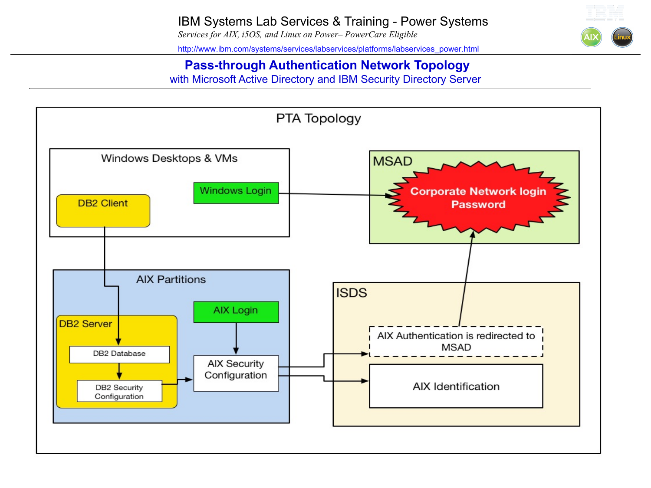

# **Pass-through Authentication Network Topology** with Microsoft Active Directory and IBM Security Directory Server

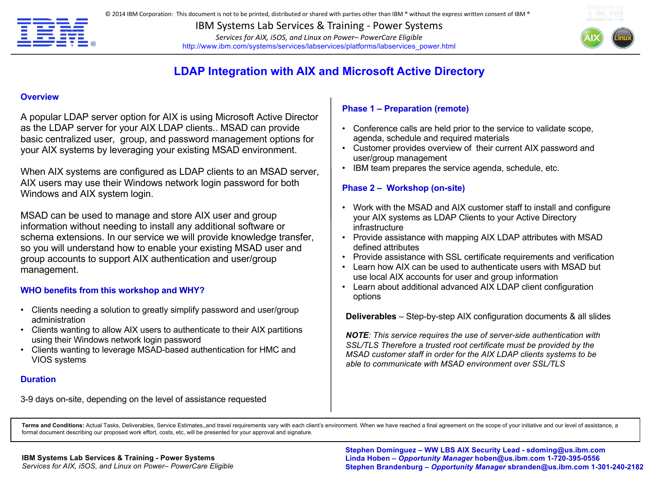

**IBM Systems Lab Services & Training - Power Systems** Services for AIX, i5OS, and Linux on Power-PowerCare Eligible http://www.ibm.com/systems/services/labservices/platforms/labservices\_power.html



# **LDAP Integration with AIX and Microsoft Active Directory**

#### **Overview**

A popular LDAP server option for AIX is using Microsoft Active Director as the LDAP server for your AIX LDAP clients.. MSAD can provide basic centralized user, group, and password management options for your AIX systems by leveraging your existing MSAD environment.

When AIX systems are configured as LDAP clients to an MSAD server, AIX users may use their Windows network login password for both Windows and AIX system login.

MSAD can be used to manage and store AIX user and group information without needing to install any additional software or schema extensions. In our service we will provide knowledge transfer, so you will understand how to enable your existing MSAD user and group accounts to support AIX authentication and user/group management.

### **WHO benefits from this workshop and WHY?**

- Clients needing a solution to greatly simplify password and user/group administration
- Clients wanting to allow AIX users to authenticate to their AIX partitions using their Windows network login password
- Clients wanting to leverage MSAD-based authentication for HMC and VIOS systems

### **Duration**

3-9 days on-site, depending on the level of assistance requested

### **Phase 1 – Preparation (remote)**

- Conference calls are held prior to the service to validate scope, agenda, schedule and required materials
- Customer provides overview of their current AIX password and user/group management
- IBM team prepares the service agenda, schedule, etc.

### **Phase 2 – Workshop (on-site)**

- Work with the MSAD and AIX customer staff to install and configure your AIX systems as LDAP Clients to your Active Directory infrastructure
- Provide assistance with mapping AIX LDAP attributes with MSAD defined attributes
- Provide assistance with SSL certificate requirements and verification
- Learn how AIX can be used to authenticate users with MSAD but use local AIX accounts for user and group information
- Learn about additional advanced AIX LDAP client configuration options

**Deliverables** – Step-by-step AIX configuration documents & all slides

*NOTE: This service requires the use of server-side authentication with SSL/TLS Therefore a trusted root certificate must be provided by the MSAD customer staff in order for the AIX LDAP clients systems to be able to communicate with MSAD environment over SSL/TLS*

Terms and Conditions: Actual Tasks, Deliverables, Service Estimates, and travel requirements vary with each client's environment. When we have reached a final agreement on the scope of your initiative and our level of assi formal document describing our proposed work effort, costs, etc, will be presented for your approval and signature.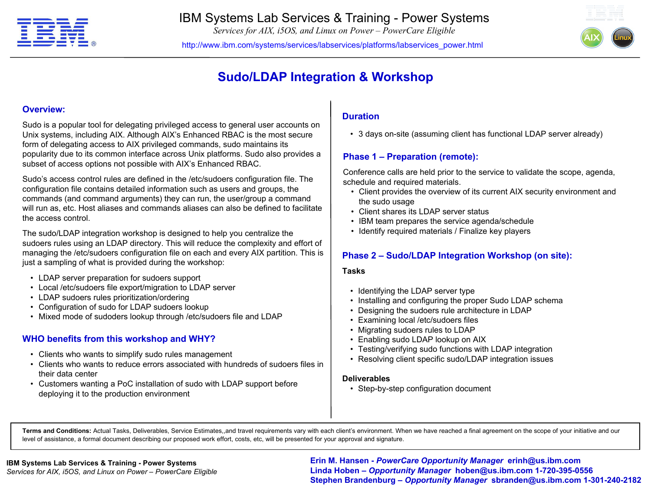

*Services for AIX, i5OS, and Linux on Power – PowerCare Eligible*

http://www.ibm.com/systems/services/labservices/platforms/labservices\_power.html



# **Sudo/LDAP Integration & Workshop**

### **Overview:**

Sudo is a popular tool for delegating privileged access to general user accounts on Unix systems, including AIX. Although AIX's Enhanced RBAC is the most secure form of delegating access to AIX privileged commands, sudo maintains its popularity due to its common interface across Unix platforms. Sudo also provides a subset of access options not possible with AIX's Enhanced RBAC.

Sudo's access control rules are defined in the /etc/sudoers configuration file. The configuration file contains detailed information such as users and groups, the commands (and command arguments) they can run, the user/group a command will run as, etc. Host aliases and commands aliases can also be defined to facilitate the access control.

The sudo/LDAP integration workshop is designed to help you centralize the sudoers rules using an LDAP directory. This will reduce the complexity and effort of managing the /etc/sudoers configuration file on each and every AIX partition. This is just a sampling of what is provided during the workshop:

- LDAP server preparation for sudoers support
- Local /etc/sudoers file export/migration to LDAP server
- LDAP sudoers rules prioritization/ordering
- Configuration of sudo for LDAP sudoers lookup
- Mixed mode of sudoders lookup through /etc/sudoers file and LDAP

### **WHO benefits from this workshop and WHY?**

- Clients who wants to simplify sudo rules management
- Clients who wants to reduce errors associated with hundreds of sudoers files in their data center
- Customers wanting a PoC installation of sudo with LDAP support before deploying it to the production environment

### **Duration**

• 3 days on-site (assuming client has functional LDAP server already)

### **Phase 1 – Preparation (remote):**

Conference calls are held prior to the service to validate the scope, agenda, schedule and required materials.

- Client provides the overview of its current AIX security environment and the sudo usage
- Client shares its LDAP server status
- IBM team prepares the service agenda/schedule
- Identify required materials / Finalize key players

### **Phase 2 – Sudo/LDAP Integration Workshop (on site):**

### **Tasks**

- Identifying the LDAP server type
- Installing and configuring the proper Sudo LDAP schema
- Designing the sudoers rule architecture in LDAP
- Examining local /etc/sudoers files
- Migrating sudoers rules to LDAP
- Enabling sudo LDAP lookup on AIX
- Testing/verifying sudo functions with LDAP integration
- Resolving client specific sudo/LDAP integration issues

### **Deliverables**

• Step-by-step configuration document

**Terms and Conditions:** Actual Tasks, Deliverables, Service Estimates,,and travel requirements vary with each client's environment. When we have reached a final agreement on the scope of your initiative and our level of assistance, a formal document describing our proposed work effort, costs, etc, will be presented for your approval and signature.

**Example 12 Corport Constructed Article 2 Constructed Article 2 Construction Corportunity Manager <b>hoben@us.ibm.com 1-720-395-0556 Corportion Corportion Corportion Corportion Corportion Corportion Corportion Corportion C Erin M. Hansen -** *PowerCare Opportunity Manager* **erinh@us.ibm.com Stephen Brandenburg –** *Opportunity Manager* **sbranden@us.ibm.com 1-301-240-2182**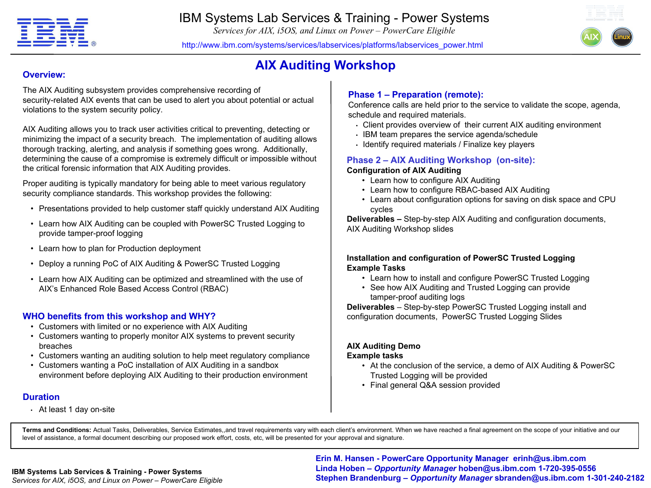

*Services for AIX, i5OS, and Linux on Power – PowerCare Eligible*

http://www.ibm.com/systems/services/labservices/platforms/labservices\_power.html



# **AIX Auditing Workshop**

### **Overview:**

The AIX Auditing subsystem provides comprehensive recording of security-related AIX events that can be used to alert you about potential or actual violations to the system security policy.

AIX Auditing allows you to track user activities critical to preventing, detecting or minimizing the impact of a security breach. The implementation of auditing allows thorough tracking, alerting, and analysis if something goes wrong. Additionally, determining the cause of a compromise is extremely difficult or impossible without the critical forensic information that AIX Auditing provides.

Proper auditing is typically mandatory for being able to meet various regulatory security compliance standards. This workshop provides the following:

- Presentations provided to help customer staff quickly understand AIX Auditing
- Learn how AIX Auditing can be coupled with PowerSC Trusted Logging to provide tamper-proof logging
- Learn how to plan for Production deployment
- Deploy a running PoC of AIX Auditing & PowerSC Trusted Logging
- Learn how AIX Auditing can be optimized and streamlined with the use of AIX's Enhanced Role Based Access Control (RBAC)

### **WHO benefits from this workshop and WHY?**

- Customers with limited or no experience with AIX Auditing
- Customers wanting to properly monitor AIX systems to prevent security breaches
- Customers wanting an auditing solution to help meet regulatory compliance
- Customers wanting a PoC installation of AIX Auditing in a sandbox environment before deploying AIX Auditing to their production environment

### **Duration**

• At least 1 day on-site

### **Phase 1 – Preparation (remote):**

Conference calls are held prior to the service to validate the scope, agenda, schedule and required materials.

- Client provides overview of their current AIX auditing environment
- IBM team prepares the service agenda/schedule
- Identify required materials / Finalize key players

### **Phase 2 – AIX Auditing Workshop (on-site): Configuration of AIX Auditing**

- Learn how to configure AIX Auditing
- Learn how to configure RBAC-based AIX Auditing
- Learn about configuration options for saving on disk space and CPU cycles

**Deliverables –** Step-by-step AIX Auditing and configuration documents, AIX Auditing Workshop slides

### **Installation and configuration of PowerSC Trusted Logging Example Tasks**

- Learn how to install and configure PowerSC Trusted Logging
- See how AIX Auditing and Trusted Logging can provide tamper-proof auditing logs

**Deliverables** – Step-by-step PowerSC Trusted Logging install and configuration documents, PowerSC Trusted Logging Slides

#### **AIX Auditing Demo Example tasks**

- At the conclusion of the service, a demo of AIX Auditing & PowerSC Trusted Logging will be provided
- Final general Q&A session provided

**Terms and Conditions:** Actual Tasks, Deliverables, Service Estimates,,and travel requirements vary with each client's environment. When we have reached a final agreement on the scope of your initiative and our level of assistance, a formal document describing our proposed work effort, costs, etc, will be presented for your approval and signature.

*Services for AIX, i5OS, and Linux on Power – PowerCare Eligible*

Page 9 © 2009 IBM Corporation **Stephen Brandenburg –** *Opportunity Manager* **sbranden@us.ibm.com 1-301-240-2182 IBM Systems Lab Services & Training - Power Systems Erin M. Hansen - PowerCare Opportunity Manager erinh@us.ibm.com Linda Hoben** *– Opportunity Manager* **hoben@us.ibm.com 1-720-395-0556**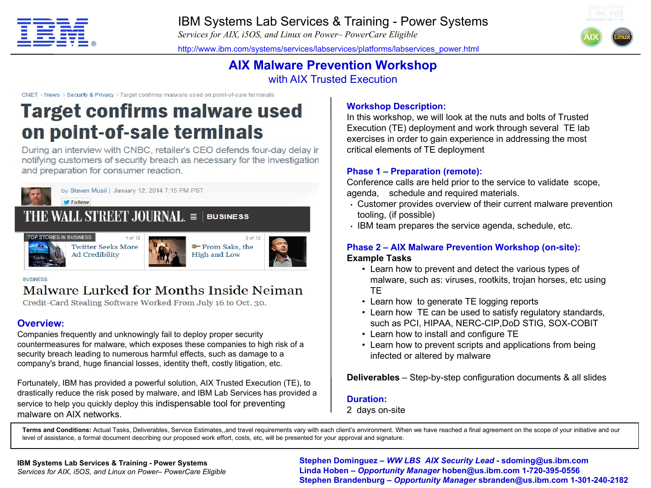

*Services for AIX, i5OS, and Linux on Power– PowerCare Eligible*

http://www.ibm.com/systems/services/labservices/platforms/labservices\_power.html



# **AIX Malware Prevention Workshop** with AIX Trusted Execution

CNET > News > Security & Privacy > Target confirms malware used on point-of-sale terminals

# **Target confirms malware used** on point-of-sale terminals

During an interview with CNBC, retailer's CEO defends four-day delay ir notifying customers of security breach as necessary for the investigation and preparation for consumer reaction.



# Malware Lurked for Months Inside Neiman

Credit-Card Stealing Software Worked From July 16 to Oct. 30.

# **Overview:**

Companies frequently and unknowingly fail to deploy proper security countermeasures for malware, which exposes these companies to high risk of a security breach leading to numerous harmful effects, such as damage to a company's brand, huge financial losses, identity theft, costly litigation, etc.

Fortunately, IBM has provided a powerful solution, AIX Trusted Execution (TE), to drastically reduce the risk posed by malware, and IBM Lab Services has provided a service to help you quickly deploy this indispensable tool for preventing malware on AIX networks.

# **Workshop Description:**

In this workshop, we will look at the nuts and bolts of Trusted Execution (TE) deployment and work through several TE lab exercises in order to gain experience in addressing the most critical elements of TE deployment

### **Phase 1 – Preparation (remote):**

Conference calls are held prior to the service to validate scope, agenda, schedule and required materials.

- Customer provides overview of their current malware prevention tooling, (if possible)
- IBM team prepares the service agenda, schedule, etc.

### **Phase 2 – AIX Malware Prevention Workshop (on-site): Example Tasks**

- Learn how to prevent and detect the various types of malware, such as: viruses, rootkits, trojan horses, etc using **TE**
- Learn how to generate TE logging reports
- Learn how TE can be used to satisfy regulatory standards, such as PCI, HIPAA, NERC-CIP,DoD STIG, SOX-COBIT
- Learn how to install and configure TE
- Learn how to prevent scripts and applications from being infected or altered by malware

**Deliverables** – Step-by-step configuration documents & all slides

### **Duration:**

2 days on-site

**Terms and Conditions:** Actual Tasks, Deliverables, Service Estimates,,and travel requirements vary with each client's environment. When we have reached a final agreement on the scope of your initiative and our level of assistance, a formal document describing our proposed work effort, costs, etc, will be presented for your approval and signature.

vices for AIX, i5OS, and Linux on Power– PowerCare Eligible<br> **Ctanben Brandaphurg – Opportunity Manager bypadaphurg – Opportunity Manager bypadaphurg – Opportunity Manager shrandap@us.ibm.com 1-720-395-0556 Stephen Dominguez –** *WW LBS AIX Security Lead* **- sdoming@us.ibm.com Stephen Brandenburg –** *Opportunity Manager* **sbranden@us.ibm.com 1-301-240-2182**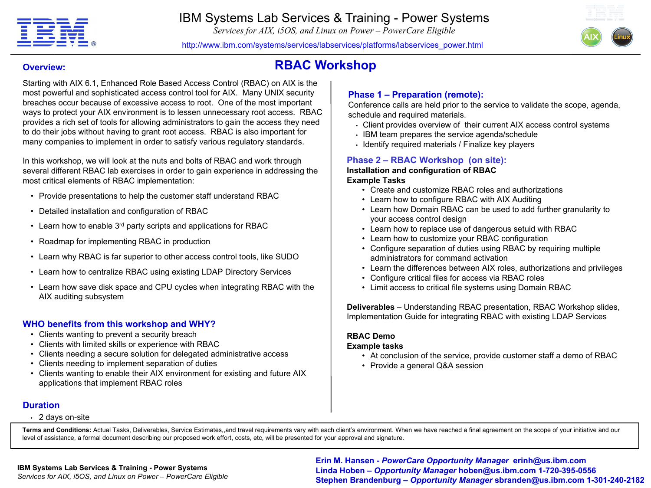

*Services for AIX, i5OS, and Linux on Power – PowerCare Eligible*



http://www.ibm.com/systems/services/labservices/platforms/labservices\_power.html

# **RBAC Workshop**

### **Overview:**

Starting with AIX 6.1, Enhanced Role Based Access Control (RBAC) on AIX is the most powerful and sophisticated access control tool for AIX. Many UNIX security breaches occur because of excessive access to root. One of the most important ways to protect your AIX environment is to lessen unnecessary root access. RBAC provides a rich set of tools for allowing administrators to gain the access they need to do their jobs without having to grant root access. RBAC is also important for many companies to implement in order to satisfy various regulatory standards.

In this workshop, we will look at the nuts and bolts of RBAC and work through several different RBAC lab exercises in order to gain experience in addressing the most critical elements of RBAC implementation:

- Provide presentations to help the customer staff understand RBAC
- Detailed installation and configuration of RBAC
- Learn how to enable 3<sup>rd</sup> party scripts and applications for RBAC
- Roadmap for implementing RBAC in production
- Learn why RBAC is far superior to other access control tools, like SUDO
- Learn how to centralize RBAC using existing LDAP Directory Services
- Learn how save disk space and CPU cycles when integrating RBAC with the AIX auditing subsystem

### **WHO benefits from this workshop and WHY?**

- Clients wanting to prevent a security breach
- Clients with limited skills or experience with RBAC
- Clients needing a secure solution for delegated administrative access
- Clients needing to implement separation of duties
- Clients wanting to enable their AIX environment for existing and future AIX applications that implement RBAC roles

### **Phase 1 – Preparation (remote):**

Conference calls are held prior to the service to validate the scope, agenda, schedule and required materials.

- Client provides overview of their current AIX access control systems
- IBM team prepares the service agenda/schedule
- Identify required materials / Finalize key players

#### **Phase 2 – RBAC Workshop (on site): Installation and configuration of RBAC**

### **Example Tasks**

- Create and customize RBAC roles and authorizations
- Learn how to configure RBAC with AIX Auditing
- Learn how Domain RBAC can be used to add further granularity to your access control design
- Learn how to replace use of dangerous setuid with RBAC
- Learn how to customize your RBAC configuration
- Configure separation of duties using RBAC by requiring multiple administrators for command activation
- Learn the differences between AIX roles, authorizations and privileges
- Configure critical files for access via RBAC roles
- Limit access to critical file systems using Domain RBAC

**Deliverables** – Understanding RBAC presentation, RBAC Workshop slides, Implementation Guide for integrating RBAC with existing LDAP Services

### **RBAC Demo**

### **Example tasks**

- At conclusion of the service, provide customer staff a demo of RBAC
- Provide a general Q&A session

### **Duration**

 $\cdot$  2 days on-site

**Terms and Conditions:** Actual Tasks, Deliverables, Service Estimates,,and travel requirements vary with each client's environment. When we have reached a final agreement on the scope of your initiative and our level of assistance, a formal document describing our proposed work effort, costs, etc, will be presented for your approval and signature.

### **IBM Systems Lab Services & Training - Power Systems**

*Services for AIX, i5OS, and Linux on Power – PowerCare Eligible*

n Systems Lab Services & Training - Power Systems<br>vices for AIX, i5OS, and Linux on Power – PowerCare Eligible **by the Corporation of Stanban Brandonburg – Opportunity Manager hoben@us.ibm.com 1-720-395-0556<br>Stanban Pronde Erin M. Hansen -** *PowerCare Opportunity Manager* **erinh@us.ibm.com Stephen Brandenburg –** *Opportunity Manager* **sbranden@us.ibm.com 1-301-240-2182**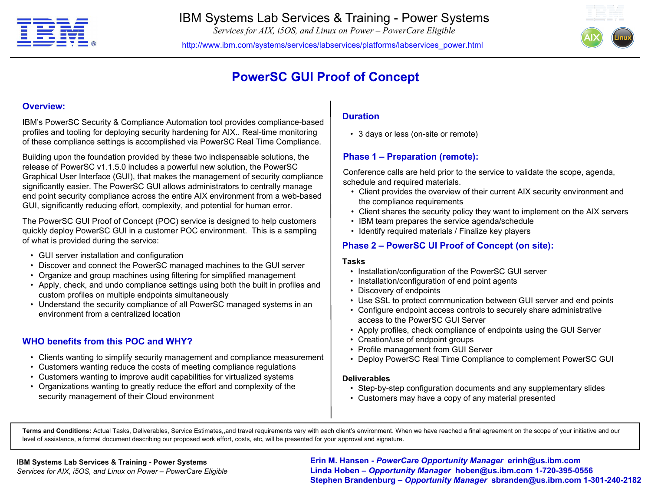

*Services for AIX, i5OS, and Linux on Power – PowerCare Eligible*

http://www.ibm.com/systems/services/labservices/platforms/labservices\_power.html



# **PowerSC GUI Proof of Concept**

#### **Overview:**

IBM's PowerSC Security & Compliance Automation tool provides compliance-based profiles and tooling for deploying security hardening for AIX.. Real-time monitoring of these compliance settings is accomplished via PowerSC Real Time Compliance.

Building upon the foundation provided by these two indispensable solutions, the release of PowerSC v1.1.5.0 includes a powerful new solution, the PowerSC Graphical User Interface (GUI), that makes the management of security compliance significantly easier. The PowerSC GUI allows administrators to centrally manage end point security compliance across the entire AIX environment from a web-based GUI, significantly reducing effort, complexity, and potential for human error.

The PowerSC GUI Proof of Concept (POC) service is designed to help customers quickly deploy PowerSC GUI in a customer POC environment. This is a sampling of what is provided during the service:

- GUI server installation and configuration
- Discover and connect the PowerSC managed machines to the GUI server
- Organize and group machines using filtering for simplified management
- Apply, check, and undo compliance settings using both the built in profiles and custom profiles on multiple endpoints simultaneously
- Understand the security compliance of all PowerSC managed systems in an environment from a centralized location

### **WHO benefits from this POC and WHY?**

- Clients wanting to simplify security management and compliance measurement
- Customers wanting reduce the costs of meeting compliance regulations
- Customers wanting to improve audit capabilities for virtualized systems
- Organizations wanting to greatly reduce the effort and complexity of the security management of their Cloud environment

### **Duration**

• 3 days or less (on-site or remote)

### **Phase 1 – Preparation (remote):**

Conference calls are held prior to the service to validate the scope, agenda, schedule and required materials.

- Client provides the overview of their current AIX security environment and the compliance requirements
- Client shares the security policy they want to implement on the AIX servers
- IBM team prepares the service agenda/schedule
- Identify required materials / Finalize key players

### **Phase 2 – PowerSC UI Proof of Concept (on site):**

#### **Tasks**

- Installation/configuration of the PowerSC GUI server
- Installation/configuration of end point agents
- Discovery of endpoints
- Use SSL to protect communication between GUI server and end points
- Configure endpoint access controls to securely share administrative access to the PowerSC GUI Server
- Apply profiles, check compliance of endpoints using the GUI Server
- Creation/use of endpoint groups
- Profile management from GUI Server
- Deploy PowerSC Real Time Compliance to complement PowerSC GUI

#### **Deliverables**

- Step-by-step configuration documents and any supplementary slides
- Customers may have a copy of any material presented

**Terms and Conditions:** Actual Tasks, Deliverables, Service Estimates,,and travel requirements vary with each client's environment. When we have reached a final agreement on the scope of your initiative and our level of assistance, a formal document describing our proposed work effort, costs, etc, will be presented for your approval and signature.

#### **IBM Systems Lab Services & Training - Power Systems**

*Services for AIX, i5OS, and Linux on Power – PowerCare Eligible*

vices for AIX, i5OS, and Linux on Power – PowerCare Eligible **1998 Linda Hoben – Opportunity Manager hoben@us.ibm.com 1-720-395-0556**<br>Staphan Prandahlurg – Opportunity Manager abrandan<sup>@us.ibm</sup>.com 1-301-34 **Erin M. Hansen -** *PowerCare Opportunity Manager* **erinh@us.ibm.com Stephen Brandenburg –** *Opportunity Manager* **sbranden@us.ibm.com 1-301-240-2182**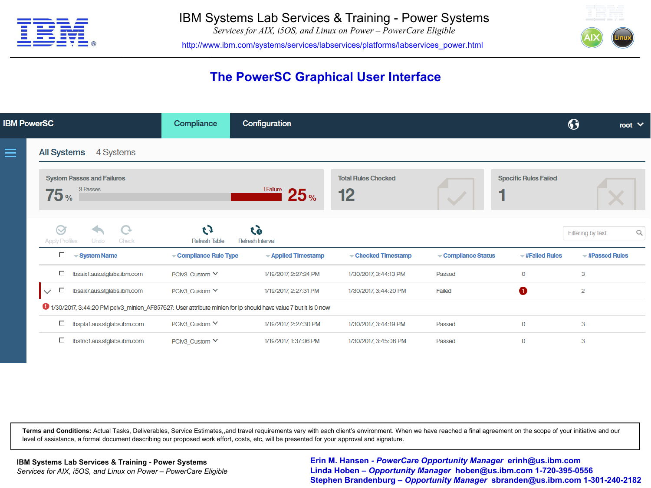

*Services for AIX, i5OS, and Linux on Power – PowerCare Eligible*

http://www.ibm.com/systems/services/labservices/platforms/labservices\_power.html



# **The PowerSC Graphical User Interface**

| <b>IBM PowerSC</b> |                                                                                                               | Compliance                  | Configuration                 |                                  |                   | ♦                            | root $\vee$                            |   |
|--------------------|---------------------------------------------------------------------------------------------------------------|-----------------------------|-------------------------------|----------------------------------|-------------------|------------------------------|----------------------------------------|---|
| $\equiv$           | <b>All Systems</b><br>4 Systems                                                                               |                             |                               |                                  |                   |                              |                                        |   |
|                    | <b>System Passes and Failures</b><br>3 Passes<br>75 <sub>%</sub>                                              |                             | 1 Failure<br>25 <sub>%</sub>  | <b>Total Rules Checked</b><br>12 |                   | <b>Specific Rules Failed</b> |                                        |   |
|                    | $\bigcirc$<br>Undo<br><b>Apply Profiles</b><br>Check                                                          | t J<br><b>Refresh Table</b> | ĞJ<br><b>Refresh Interval</b> |                                  |                   |                              | Filtering by text                      | Q |
|                    | $\square$ $\blacktriangleright$ System Name                                                                   | Compliance Rule Type        | - Applied Timestamp           | Checked Timestamp                | Compliance Status | $=$ #Failed Rules            | $\overline{\phantom{a}}$ #Passed Rules |   |
|                    | □ Ibsaix1.aus.stglabs.ibm.com                                                                                 | PClv3_Custom ∨              | 1/19/2017, 2:27:24 PM         | 1/30/2017, 3:44:13 PM            | Passed            | $\mathbf{0}$                 | 3                                      |   |
|                    | Ibsaix7.aus.stglabs.ibm.com<br>П.<br>$\checkmark$                                                             | PClv3 Custom ∨              | 1/19/2017, 2:27:31 PM         | 1/30/2017, 3:44:20 PM            | Failed            | 6                            | $\overline{2}$                         |   |
|                    | 1/30/2017, 3:44:20 PM pciv3_minlen_AF857627: User attribute minlen for lp should have value 7 but it is 0 now |                             |                               |                                  |                   |                              |                                        |   |
|                    | □ Ibspta1.aus.stglabs.ibm.com                                                                                 | PClv3_Custom ∨              | 1/19/2017, 2:27:30 PM         | 1/30/2017, 3:44:19 PM            | Passed            | $\mathbf 0$                  | 3                                      |   |
|                    | □ Ibstnc1.aus.stglabs.ibm.com                                                                                 | PClv3 Custom ∨              | 1/19/2017, 1:37:06 PM         | 1/30/2017, 3:45:06 PM            | Passed            | $\mathbf{O}$                 | 3                                      |   |

**Terms and Conditions:** Actual Tasks, Deliverables, Service Estimates,,and travel requirements vary with each client's environment. When we have reached a final agreement on the scope of your initiative and our level of assistance, a formal document describing our proposed work effort, costs, etc, will be presented for your approval and signature.

vices for AIX, i5OS, and Linux on Power – PowerCare Eligible **1998 Linda Hoben – Opportunity Manager hoben@us.ibm.com 1-720-395-0556**<br>Staphan Prandahlurg – Opportunity Manager abrandan<sup>@us.ibm</sup>.com 1-301-34 **Erin M. Hansen -** *PowerCare Opportunity Manager* **erinh@us.ibm.com Stephen Brandenburg –** *Opportunity Manager* **sbranden@us.ibm.com 1-301-240-2182**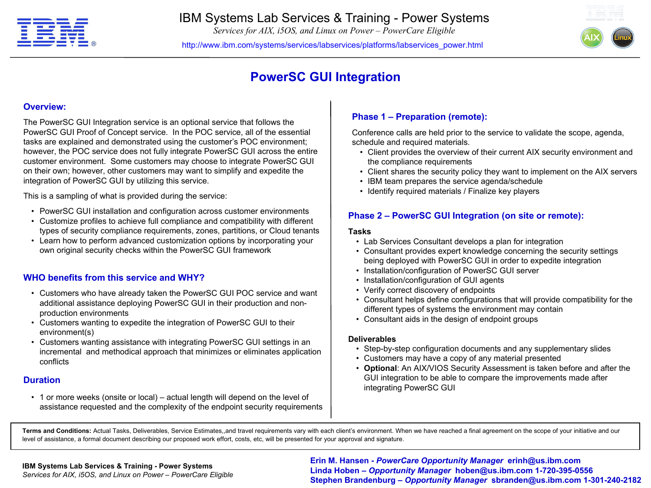

*Services for AIX, i5OS, and Linux on Power – PowerCare Eligible*

http://www.ibm.com/systems/services/labservices/platforms/labservices\_power.html



# **PowerSC GUI Integration**

#### **Overview:**

The PowerSC GUI Integration service is an optional service that follows the PowerSC GUI Proof of Concept service. In the POC service, all of the essential tasks are explained and demonstrated using the customer's POC environment; however, the POC service does not fully integrate PowerSC GUI across the entire customer environment. Some customers may choose to integrate PowerSC GUI on their own; however, other customers may want to simplify and expedite the integration of PowerSC GUI by utilizing this service.

This is a sampling of what is provided during the service:

- PowerSC GUI installation and configuration across customer environments
- Customize profiles to achieve full compliance and compatibility with different types of security compliance requirements, zones, partitions, or Cloud tenants
- Learn how to perform advanced customization options by incorporating your own original security checks within the PowerSC GUI framework

### **WHO benefits from this service and WHY?**

- Customers who have already taken the PowerSC GUI POC service and want additional assistance deploying PowerSC GUI in their production and nonproduction environments
- Customers wanting to expedite the integration of PowerSC GUI to their environment(s)
- Customers wanting assistance with integrating PowerSC GUI settings in an incremental and methodical approach that minimizes or eliminates application conflicts

### **Duration**

• 1 or more weeks (onsite or local) – actual length will depend on the level of assistance requested and the complexity of the endpoint security requirements

### **Phase 1 – Preparation (remote):**

Conference calls are held prior to the service to validate the scope, agenda, schedule and required materials.

- Client provides the overview of their current AIX security environment and the compliance requirements
- Client shares the security policy they want to implement on the AIX servers
- IBM team prepares the service agenda/schedule
- Identify required materials / Finalize key players

### **Phase 2 – PowerSC GUI Integration (on site or remote):**

#### **Tasks**

- Lab Services Consultant develops a plan for integration
- Consultant provides expert knowledge concerning the security settings being deployed with PowerSC GUI in order to expedite integration
- Installation/configuration of PowerSC GUI server
- Installation/configuration of GUI agents
- Verify correct discovery of endpoints
- Consultant helps define configurations that will provide compatibility for the different types of systems the environment may contain
- Consultant aids in the design of endpoint groups

#### **Deliverables**

- Step-by-step configuration documents and any supplementary slides
- Customers may have a copy of any material presented
- **Optional**: An AIX/VIOS Security Assessment is taken before and after the GUI integration to be able to compare the improvements made after integrating PowerSC GUI

**Terms and Conditions:** Actual Tasks, Deliverables, Service Estimates,,and travel requirements vary with each client's environment. When we have reached a final agreement on the scope of your initiative and our level of assistance, a formal document describing our proposed work effort, costs, etc, will be presented for your approval and signature.

**Example 2009** Corporation Corporation Corporation Corporation Corporation Corporation Corporation Corporation Corporation Corporation Corporation Corporation Corporation Corporation Corporation Corporation Corporation Cor **Erin M. Hansen -** *PowerCare Opportunity Manager* **erinh@us.ibm.com Linda Hoben** *– Opportunity Manager* **hoben@us.ibm.com 1-720-395-0556 Stephen Brandenburg –** *Opportunity Manager* **sbranden@us.ibm.com 1-301-240-2182**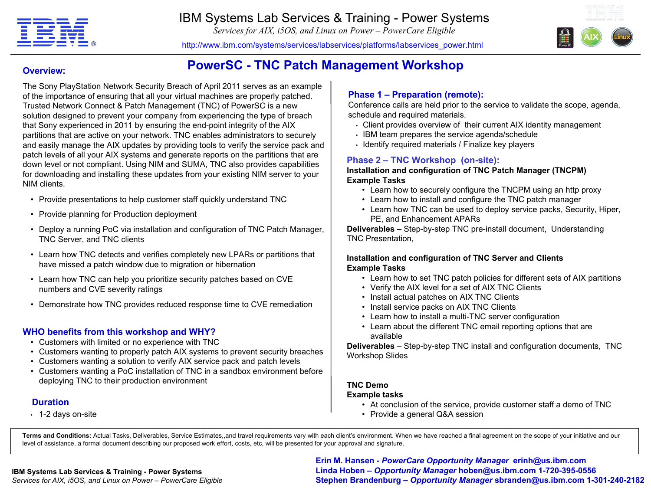

*Services for AIX, i5OS, and Linux on Power – PowerCare Eligible*



http://www.ibm.com/systems/services/labservices/platforms/labservices\_power.html

**PowerSC - TNC Patch Management Workshop**

### **Overview:**

The Sony PlayStation Network Security Breach of April 2011 serves as an example of the importance of ensuring that all your virtual machines are properly patched. Trusted Network Connect & Patch Management (TNC) of PowerSC is a new solution designed to prevent your company from experiencing the type of breach that Sony experienced in 2011 by ensuring the end-point integrity of the AIX partitions that are active on your network. TNC enables administrators to securely and easily manage the AIX updates by providing tools to verify the service pack and patch levels of all your AIX systems and generate reports on the partitions that are down level or not compliant. Using NIM and SUMA, TNC also provides capabilities for downloading and installing these updates from your existing NIM server to your NIM clients.

- Provide presentations to help customer staff quickly understand TNC
- Provide planning for Production deployment
- Deploy a running PoC via installation and configuration of TNC Patch Manager, TNC Server, and TNC clients
- Learn how TNC detects and verifies completely new LPARs or partitions that have missed a patch window due to migration or hibernation
- Learn how TNC can help you prioritize security patches based on CVE numbers and CVE severity ratings
- Demonstrate how TNC provides reduced response time to CVE remediation

### **WHO benefits from this workshop and WHY?**

- Customers with limited or no experience with TNC
- Customers wanting to properly patch AIX systems to prevent security breaches
- Customers wanting a solution to verify AIX service pack and patch levels
- Customers wanting a PoC installation of TNC in a sandbox environment before deploying TNC to their production environment

### **Duration**

• 1-2 days on-site

### **Phase 1 – Preparation (remote):**

Conference calls are held prior to the service to validate the scope, agenda, schedule and required materials.

- Client provides overview of their current AIX identity management
- IBM team prepares the service agenda/schedule
- Identify required materials / Finalize key players

### **Phase 2 – TNC Workshop (on-site):**

#### **Installation and configuration of TNC Patch Manager (TNCPM) Example Tasks**

- Learn how to securely configure the TNCPM using an http proxy
- Learn how to install and configure the TNC patch manager
- Learn how TNC can be used to deploy service packs, Security, Hiper, PE, and Enhancement APARs

**Deliverables –** Step-by-step TNC pre-install document, Understanding TNC Presentation,

### **Installation and configuration of TNC Server and Clients Example Tasks**

- Learn how to set TNC patch policies for different sets of AIX partitions
- Verify the AIX level for a set of AIX TNC Clients
- Install actual patches on AIX TNC Clients
- Install service packs on AIX TNC Clients
- Learn how to install a multi-TNC server configuration
- Learn about the different TNC email reporting options that are available

**Deliverables** – Step-by-step TNC install and configuration documents, TNC Workshop Slides

#### **TNC Demo Example tasks**

- At conclusion of the service, provide customer staff a demo of TNC
- Provide a general Q&A session

**Terms and Conditions:** Actual Tasks, Deliverables, Service Estimates,,and travel requirements vary with each client's environment. When we have reached a final agreement on the scope of your initiative and our level of assistance, a formal document describing our proposed work effort, costs, etc, will be presented for your approval and signature.

#### **IBM Systems Lab Services & Training - Power Systems**

*Services for AIX, i5OS, and Linux on Power – PowerCare Eligible*

**Page 15 Corporation Corporation Corporation Corporation Corporation Corporation Corporation Corporation Corporation Corporation Corporation Corporation Corporation Corporation Corporation Corporation Corporation Corporati Erin M. Hansen -** *PowerCare Opportunity Manager* **erinh@us.ibm.com Stephen Brandenburg –** *Opportunity Manager* **sbranden@us.ibm.com 1-301-240-2182**